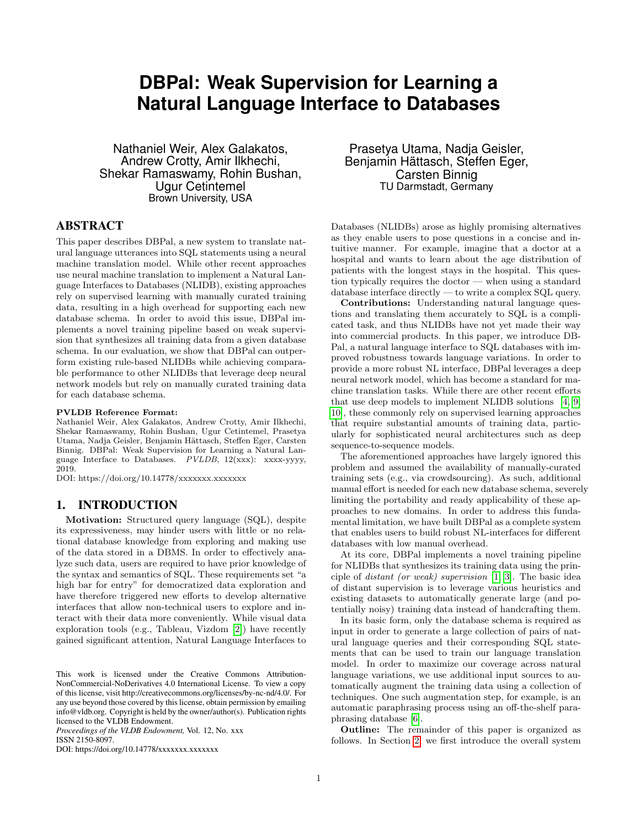# **DBPal: Weak Supervision for Learning a Natural Language Interface to Databases**

Nathaniel Weir, Alex Galakatos, Andrew Crotty, Amir Ilkhechi, Shekar Ramaswamy, Rohin Bushan, Ugur Cetintemel Brown University, USA

## ABSTRACT

This paper describes DBPal, a new system to translate natural language utterances into SQL statements using a neural machine translation model. While other recent approaches use neural machine translation to implement a Natural Language Interfaces to Databases (NLIDB), existing approaches rely on supervised learning with manually curated training data, resulting in a high overhead for supporting each new database schema. In order to avoid this issue, DBPal implements a novel training pipeline based on weak supervision that synthesizes all training data from a given database schema. In our evaluation, we show that DBPal can outperform existing rule-based NLIDBs while achieving comparable performance to other NLIDBs that leverage deep neural network models but rely on manually curated training data for each database schema.

## PVLDB Reference Format:

Nathaniel Weir, Alex Galakatos, Andrew Crotty, Amir Ilkhechi, Shekar Ramaswamy, Rohin Bushan, Ugur Cetintemel, Prasetya Utama, Nadja Geisler, Benjamin Hättasch, Steffen Eger, Carsten Binnig. DBPal: Weak Supervision for Learning a Natural Language Interface to Databases. PVLDB, 12(xxx): xxxx-yyyy, 2019.

DOI: https://doi.org/10.14778/xxxxxxx.xxxxxxx

## 1. INTRODUCTION

Motivation: Structured query language (SQL), despite its expressiveness, may hinder users with little or no relational database knowledge from exploring and making use of the data stored in a DBMS. In order to effectively analyze such data, users are required to have prior knowledge of the syntax and semantics of SQL. These requirements set "a high bar for entry" for democratized data exploration and have therefore triggered new efforts to develop alternative interfaces that allow non-technical users to explore and interact with their data more conveniently. While visual data exploration tools (e.g., Tableau, Vizdom [\[2\]](#page-3-0)) have recently gained significant attention, Natural Language Interfaces to

*Proceedings of the VLDB Endowment,* Vol. 12, No. xxx ISSN 2150-8097.

DOI: https://doi.org/10.14778/xxxxxxx.xxxxxxx

Prasetya Utama, Nadja Geisler, Benjamin Hättasch, Steffen Eger, Carsten Binnig TU Darmstadt, Germany

Databases (NLIDBs) arose as highly promising alternatives as they enable users to pose questions in a concise and intuitive manner. For example, imagine that a doctor at a hospital and wants to learn about the age distribution of patients with the longest stays in the hospital. This question typically requires the doctor — when using a standard database interface directly — to write a complex SQL query.

Contributions: Understanding natural language questions and translating them accurately to SQL is a complicated task, and thus NLIDBs have not yet made their way into commercial products. In this paper, we introduce DB-Pal, a natural language interface to SQL databases with improved robustness towards language variations. In order to provide a more robust NL interface, DBPal leverages a deep neural network model, which has become a standard for machine translation tasks. While there are other recent efforts that use deep models to implement NLIDB solutions [\[4,](#page-3-1) [9,](#page-3-2) [10\]](#page-3-3), these commonly rely on supervised learning approaches that require substantial amounts of training data, particularly for sophisticated neural architectures such as deep sequence-to-sequence models.

The aforementioned approaches have largely ignored this problem and assumed the availability of manually-curated training sets (e.g., via crowdsourcing). As such, additional manual effort is needed for each new database schema, severely limiting the portability and ready applicability of these approaches to new domains. In order to address this fundamental limitation, we have built DBPal as a complete system that enables users to build robust NL-interfaces for different databases with low manual overhead.

At its core, DBPal implements a novel training pipeline for NLIDBs that synthesizes its training data using the principle of distant (or weak) supervision [\[1,](#page-3-4) [3\]](#page-3-5). The basic idea of distant supervision is to leverage various heuristics and existing datasets to automatically generate large (and potentially noisy) training data instead of handcrafting them.

In its basic form, only the database schema is required as input in order to generate a large collection of pairs of natural language queries and their corresponding SQL statements that can be used to train our language translation model. In order to maximize our coverage across natural language variations, we use additional input sources to automatically augment the training data using a collection of techniques. One such augmentation step, for example, is an automatic paraphrasing process using an off-the-shelf paraphrasing database [\[6\]](#page-3-6).

Outline: The remainder of this paper is organized as follows. In Section [2,](#page-1-0) we first introduce the overall system

This work is licensed under the Creative Commons Attribution-NonCommercial-NoDerivatives 4.0 International License. To view a copy of this license, visit http://creativecommons.org/licenses/by-nc-nd/4.0/. For any use beyond those covered by this license, obtain permission by emailing info@vldb.org. Copyright is held by the owner/author(s). Publication rights licensed to the VLDB Endowment.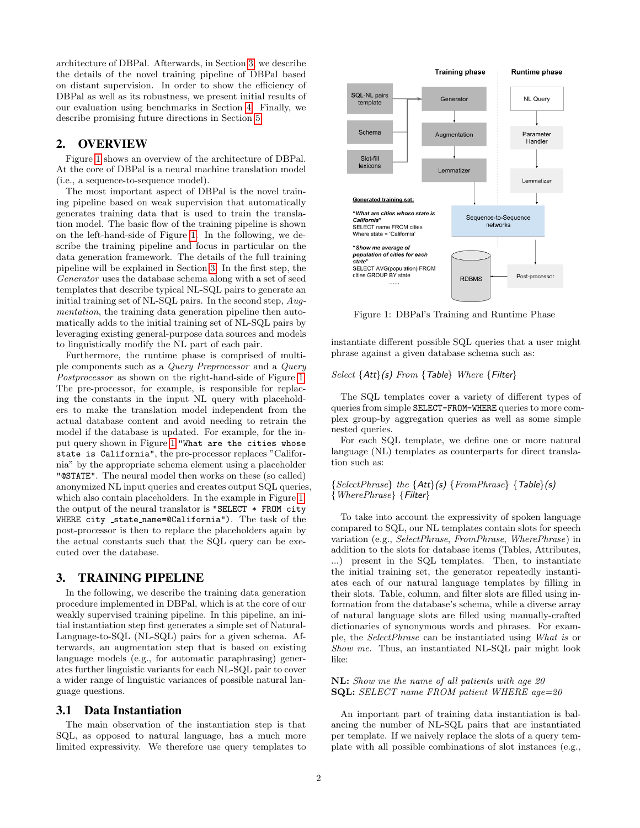architecture of DBPal. Afterwards, in Section [3,](#page-1-1) we describe the details of the novel training pipeline of DBPal based on distant supervision. In order to show the efficiency of DBPal as well as its robustness, we present initial results of our evaluation using benchmarks in Section [4.](#page-2-0) Finally, we describe promising future directions in Section [5.](#page-3-7)

## <span id="page-1-0"></span>2. OVERVIEW

Figure [1](#page-1-2) shows an overview of the architecture of DBPal. At the core of DBPal is a neural machine translation model (i.e., a sequence-to-sequence model).

The most important aspect of DBPal is the novel training pipeline based on weak supervision that automatically generates training data that is used to train the translation model. The basic flow of the training pipeline is shown on the left-hand-side of Figure [1.](#page-1-2) In the following, we describe the training pipeline and focus in particular on the data generation framework. The details of the full training pipeline will be explained in Section [3.](#page-1-1) In the first step, the Generator uses the database schema along with a set of seed templates that describe typical NL-SQL pairs to generate an initial training set of NL-SQL pairs. In the second step, Augmentation, the training data generation pipeline then automatically adds to the initial training set of NL-SQL pairs by leveraging existing general-purpose data sources and models to linguistically modify the NL part of each pair.

Furthermore, the runtime phase is comprised of multiple components such as a Query Preprocessor and a Query Postprocessor as shown on the right-hand-side of Figure [1.](#page-1-2) The pre-processor, for example, is responsible for replacing the constants in the input NL query with placeholders to make the translation model independent from the actual database content and avoid needing to retrain the model if the database is updated. For example, for the input query shown in Figure [1](#page-1-2) "What are the cities whose state is California", the pre-processor replaces "California" by the appropriate schema element using a placeholder "@STATE". The neural model then works on these (so called) anonymized NL input queries and creates output SQL queries, which also contain placeholders. In the example in Figure [1,](#page-1-2) the output of the neural translator is "SELECT \* FROM city WHERE city \_state\_name=@California"). The task of the post-processor is then to replace the placeholders again by the actual constants such that the SQL query can be executed over the database.

## <span id="page-1-1"></span>3. TRAINING PIPELINE

In the following, we describe the training data generation procedure implemented in DBPal, which is at the core of our weakly supervised training pipeline. In this pipeline, an initial instantiation step first generates a simple set of Natural-Language-to-SQL (NL-SQL) pairs for a given schema. Afterwards, an augmentation step that is based on existing language models (e.g., for automatic paraphrasing) generates further linguistic variants for each NL-SQL pair to cover a wider range of linguistic variances of possible natural language questions.

## 3.1 Data Instantiation

The main observation of the instantiation step is that SQL, as opposed to natural language, has a much more limited expressivity. We therefore use query templates to

<span id="page-1-2"></span>

Figure 1: DBPal's Training and Runtime Phase

instantiate different possible SQL queries that a user might phrase against a given database schema such as:

#### Select {Att}(s) From {Table} Where {Filter}

The SQL templates cover a variety of different types of queries from simple SELECT-FROM-WHERE queries to more complex group-by aggregation queries as well as some simple nested queries.

For each SQL template, we define one or more natural language (NL) templates as counterparts for direct translation such as:

#### ${SelectPhrase}$  the  ${Att}(s)$   ${FromPhrase}$   ${Table}(s)$ {WherePhrase} {Filter}

To take into account the expressivity of spoken language compared to SQL, our NL templates contain slots for speech variation (e.g., SelectPhrase, FromPhrase, WherePhrase) in addition to the slots for database items (Tables, Attributes, ...) present in the SQL templates. Then, to instantiate the initial training set, the generator repeatedly instantiates each of our natural language templates by filling in their slots. Table, column, and filter slots are filled using information from the database's schema, while a diverse array of natural language slots are filled using manually-crafted dictionaries of synonymous words and phrases. For example, the SelectPhrase can be instantiated using What is or Show me. Thus, an instantiated NL-SQL pair might look like:

#### NL: Show me the name of all patients with age 20 SQL: SELECT name FROM patient WHERE age=20

An important part of training data instantiation is balancing the number of NL-SQL pairs that are instantiated per template. If we naively replace the slots of a query template with all possible combinations of slot instances (e.g.,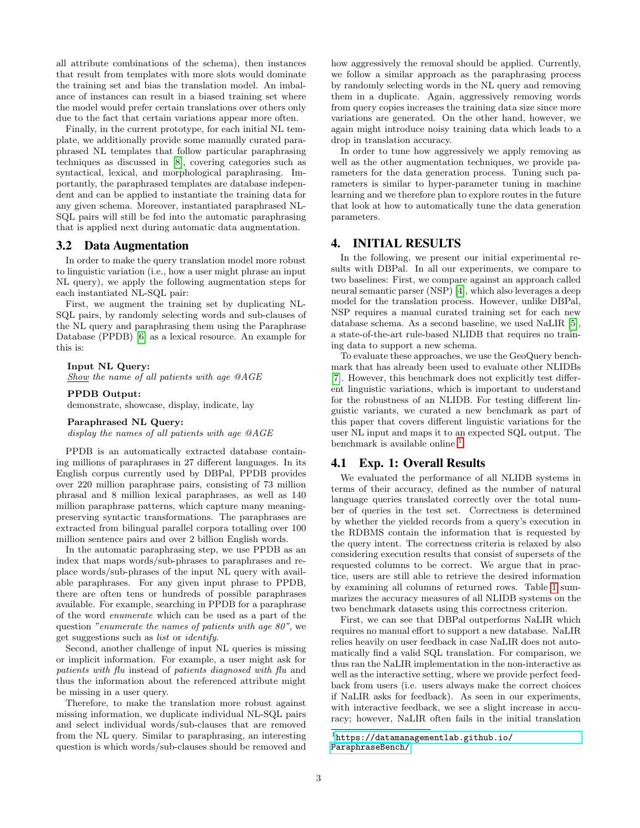all attribute combinations of the schema), then instances that result from templates with more slots would dominate the training set and bias the translation model. An imbalance of instances can result in a biased training set where the model would prefer certain translations over others only due to the fact that certain variations appear more often.

Finally, in the current prototype, for each initial NL template, we additionally provide some manually curated paraphrased NL templates that follow particular paraphrasing techniques as discussed in [\[8\]](#page-3-8), covering categories such as syntactical, lexical, and morphological paraphrasing. Importantly, the paraphrased templates are database independent and can be applied to instantiate the training data for any given schema. Moreover, instantiated paraphrased NL-SQL pairs will still be fed into the automatic paraphrasing that is applied next during automatic data augmentation.

## 3.2 Data Augmentation

In order to make the query translation model more robust to linguistic variation (i.e., how a user might phrase an input NL query), we apply the following augmentation steps for each instantiated NL-SQL pair:

First, we augment the training set by duplicating NL-SQL pairs, by randomly selecting words and sub-clauses of the NL query and paraphrasing them using the Paraphrase Database (PPDB) [\[6\]](#page-3-6) as a lexical resource. An example for this is:

#### Input NL Query:

Show the name of all patients with age @AGE

#### PPDB Output:

demonstrate, showcase, display, indicate, lay

Paraphrased NL Query:

display the names of all patients with age @AGE

PPDB is an automatically extracted database containing millions of paraphrases in 27 different languages. In its English corpus currently used by DBPal, PPDB provides over 220 million paraphrase pairs, consisting of 73 million phrasal and 8 million lexical paraphrases, as well as 140 million paraphrase patterns, which capture many meaningpreserving syntactic transformations. The paraphrases are extracted from bilingual parallel corpora totalling over 100 million sentence pairs and over 2 billion English words.

In the automatic paraphrasing step, we use PPDB as an index that maps words/sub-phrases to paraphrases and replace words/sub-phrases of the input NL query with available paraphrases. For any given input phrase to PPDB, there are often tens or hundreds of possible paraphrases available. For example, searching in PPDB for a paraphrase of the word enumerate which can be used as a part of the question "enumerate the names of patients with age 80", we get suggestions such as list or identify.

Second, another challenge of input NL queries is missing or implicit information. For example, a user might ask for patients with flu instead of patients diagnosed with flu and thus the information about the referenced attribute might be missing in a user query.

Therefore, to make the translation more robust against missing information, we duplicate individual NL-SQL pairs and select individual words/sub-clauses that are removed from the NL query. Similar to paraphrasing, an interesting question is which words/sub-clauses should be removed and

how aggressively the removal should be applied. Currently, we follow a similar approach as the paraphrasing process by randomly selecting words in the NL query and removing them in a duplicate. Again, aggressively removing words from query copies increases the training data size since more variations are generated. On the other hand, however, we again might introduce noisy training data which leads to a drop in translation accuracy.

In order to tune how aggressively we apply removing as well as the other augmentation techniques, we provide parameters for the data generation process. Tuning such parameters is similar to hyper-parameter tuning in machine learning and we therefore plan to explore routes in the future that look at how to automatically tune the data generation parameters.

## <span id="page-2-0"></span>4. INITIAL RESULTS

In the following, we present our initial experimental results with DBPal. In all our experiments, we compare to two baselines: First, we compare against an approach called neural semantic parser (NSP) [\[4\]](#page-3-1), which also leverages a deep model for the translation process. However, unlike DBPal, NSP requires a manual curated training set for each new database schema. As a second baseline, we used NaLIR [\[5\]](#page-3-9), a state-of-the-art rule-based NLIDB that requires no training data to support a new schema.

To evaluate these approaches, we use the GeoQuery benchmark that has already been used to evaluate other NLIDBs [\[7\]](#page-3-10). However, this benchmark does not explicitly test different linguistic variations, which is important to understand for the robustness of an NLIDB. For testing different linguistic variants, we curated a new benchmark as part of this paper that covers different linguistic variations for the user NL input and maps it to an expected SQL output. The benchmark is available online  $<sup>1</sup>$  $<sup>1</sup>$  $<sup>1</sup>$ .</sup>

#### 4.1 Exp. 1: Overall Results

We evaluated the performance of all NLIDB systems in terms of their accuracy, defined as the number of natural language queries translated correctly over the total number of queries in the test set. Correctness is determined by whether the yielded records from a query's execution in the RDBMS contain the information that is requested by the query intent. The correctness criteria is relaxed by also considering execution results that consist of supersets of the requested columns to be correct. We argue that in practice, users are still able to retrieve the desired information by examining all columns of returned rows. Table [1](#page-3-11) summarizes the accuracy measures of all NLIDB systems on the two benchmark datasets using this correctness criterion.

First, we can see that DBPal outperforms NaLIR which requires no manual effort to support a new database. NaLIR relies heavily on user feedback in case NaLIR does not automatically find a valid SQL translation. For comparison, we thus ran the NaLIR implementation in the non-interactive as well as the interactive setting, where we provide perfect feedback from users (i.e. users always make the correct choices if NaLIR asks for feedback). As seen in our experiments, with interactive feedback, we see a slight increase in accuracy; however, NaLIR often fails in the initial translation

<span id="page-2-1"></span><sup>1</sup> [https://datamanagementlab.github.io/](https://datamanagementlab.github.io/ParaphraseBench/) [ParaphraseBench/](https://datamanagementlab.github.io/ParaphraseBench/)